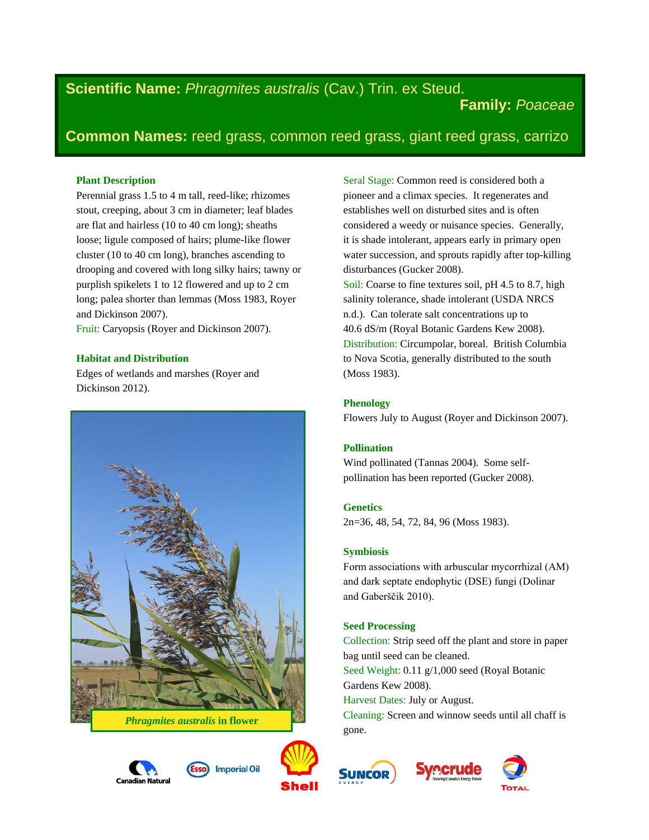# **Scientific Name:** *Phragmites australis* (Cav.) Trin. ex Steud.

**Family:** *Poaceae*

## **Common Names:** reed grass, common reed grass, giant reed grass, carrizo

## **Plant Description**

Perennial grass 1.5 to 4 m tall, reed-like; rhizomes stout, creeping, about 3 cm in diameter; leaf blades are flat and hairless (10 to 40 cm long); sheaths loose; ligule composed of hairs; plume-like flower cluster (10 to 40 cm long), branches ascending to drooping and covered with long silky hairs; tawny or purplish spikelets 1 to 12 flowered and up to 2 cm long; palea shorter than lemmas (Moss 1983, Royer and Dickinson 2007).

Fruit: Caryopsis (Royer and Dickinson 2007).

## **Habitat and Distribution**

Edges of wetlands and marshes (Royer and Dickinson 2012).







**Imperial Oil** 

Seral Stage: Common reed is considered both a pioneer and a climax species. It regenerates and establishes well on disturbed sites and is often considered a weedy or nuisance species. Generally, it is shade intolerant, appears early in primary open water succession, and sprouts rapidly after top-killing disturbances (Gucker 2008). Soil: Coarse to fine textures soil, pH 4.5 to 8.7, high salinity tolerance, shade intolerant (USDA NRCS n.d.). Can tolerate salt concentrations up to 40.6 dS/m (Royal Botanic Gardens Kew 2008). Distribution: Circumpolar, boreal. British Columbia to Nova Scotia, generally distributed to the south

## **Phenology**

(Moss 1983).

Flowers July to August (Royer and Dickinson 2007).

#### **Pollination**

Wind pollinated (Tannas 2004). Some selfpollination has been reported (Gucker 2008).

## **Genetics**

2n=36, 48, 54, 72, 84, 96 (Moss 1983).

#### **Symbiosis**

Form associations with arbuscular mycorrhizal (AM) and dark septate endophytic (DSE) fungi (Dolinar and Gaberščik 2010).

#### **Seed Processing**

Collection: Strip seed off the plant and store in paper bag until seed can be cleaned. Seed Weight: 0.11 g/1,000 seed (Royal Botanic Gardens Kew 2008). Harvest Dates: July or August.

Cleaning: Screen and winnow seeds until all chaff is gone.



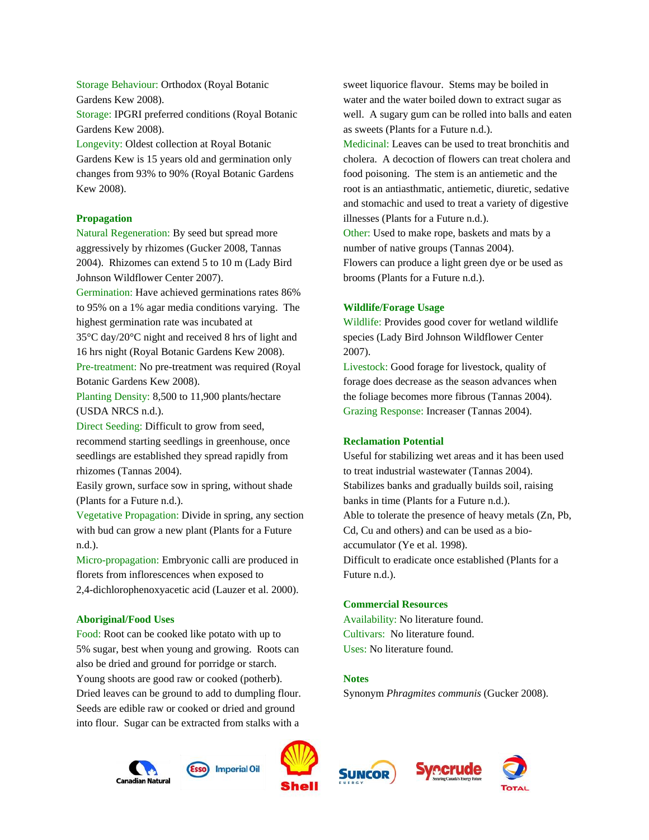Storage Behaviour: Orthodox (Royal Botanic Gardens Kew 2008).

Storage: IPGRI preferred conditions (Royal Botanic Gardens Kew 2008).

Longevity: Oldest collection at Royal Botanic Gardens Kew is 15 years old and germination only changes from 93% to 90% (Royal Botanic Gardens Kew 2008).

## **Propagation**

Natural Regeneration: By seed but spread more aggressively by rhizomes (Gucker 2008, Tannas 2004). Rhizomes can extend 5 to 10 m (Lady Bird Johnson Wildflower Center 2007).

Germination: Have achieved germinations rates 86% to 95% on a 1% agar media conditions varying. The highest germination rate was incubated at

35°C day/20°C night and received 8 hrs of light and 16 hrs night (Royal Botanic Gardens Kew 2008).

Pre-treatment: No pre-treatment was required (Royal Botanic Gardens Kew 2008).

Planting Density: 8,500 to 11,900 plants/hectare (USDA NRCS n.d.).

Direct Seeding: Difficult to grow from seed, recommend starting seedlings in greenhouse, once seedlings are established they spread rapidly from rhizomes (Tannas 2004).

Easily grown, surface sow in spring, without shade (Plants for a Future n.d.).

Vegetative Propagation: Divide in spring, any section with bud can grow a new plant (Plants for a Future n.d.).

Micro-propagation: Embryonic calli are produced in florets from inflorescences when exposed to 2,4-dichlorophenoxyacetic acid (Lauzer et al. 2000).

#### **Aboriginal/Food Uses**

Food: Root can be cooked like potato with up to 5% sugar, best when young and growing. Roots can also be dried and ground for porridge or starch. Young shoots are good raw or cooked (potherb). Dried leaves can be ground to add to dumpling flour. Seeds are edible raw or cooked or dried and ground into flour. Sugar can be extracted from stalks with a

sweet liquorice flavour. Stems may be boiled in water and the water boiled down to extract sugar as well. A sugary gum can be rolled into balls and eaten as sweets (Plants for a Future n.d.).

Medicinal: Leaves can be used to treat bronchitis and cholera. A decoction of flowers can treat cholera and food poisoning. The stem is an antiemetic and the root is an antiasthmatic, antiemetic, diuretic, sedative and stomachic and used to treat a variety of digestive illnesses (Plants for a Future n.d.).

Other: Used to make rope, baskets and mats by a number of native groups (Tannas 2004). Flowers can produce a light green dye or be used as brooms (Plants for a Future n.d.).

#### **Wildlife/Forage Usage**

Wildlife: Provides good cover for wetland wildlife species (Lady Bird Johnson Wildflower Center 2007).

Livestock: Good forage for livestock, quality of forage does decrease as the season advances when the foliage becomes more fibrous (Tannas 2004). Grazing Response: Increaser (Tannas 2004).

#### **Reclamation Potential**

Useful for stabilizing wet areas and it has been used to treat industrial wastewater (Tannas 2004). Stabilizes banks and gradually builds soil, raising banks in time (Plants for a Future n.d.). Able to tolerate the presence of heavy metals (Zn, Pb, Cd, Cu and others) and can be used as a bioaccumulator (Ye et al. 1998). Difficult to eradicate once established (Plants for a Future n.d.).

#### **Commercial Resources**

Availability: No literature found. Cultivars: No literature found. Uses: No literature found.

## **Notes**

Synonym *Phragmites communis* (Gucker 2008).